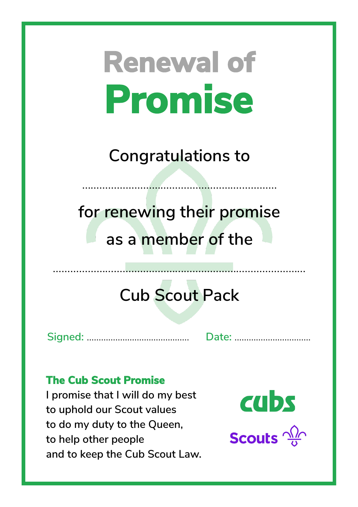**Congratulations to**

……………………………………………….…………

**for renewing their promise as a member of the**

### **Cub Scout Pack**

**Signed:** ……………...……………………. **Date:** …………………....…….

#### **The Cub Scout Promise**

**I promise that I will do my best to uphold our Scout values to do my duty to the Queen, to help other people and to keep the Cub Scout Law.**



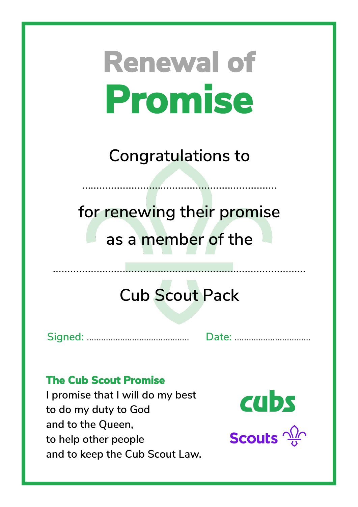**Congratulations to**

……………………………………………….…………

**for renewing their promise as a member of the**

### **Cub Scout Pack**

**Signed:** ……………...……………………. **Date:** …………………....…….

#### **The Cub Scout Promise**

**I promise that I will do my best to do my duty to God and to the Queen, to help other people and to keep the Cub Scout Law.**



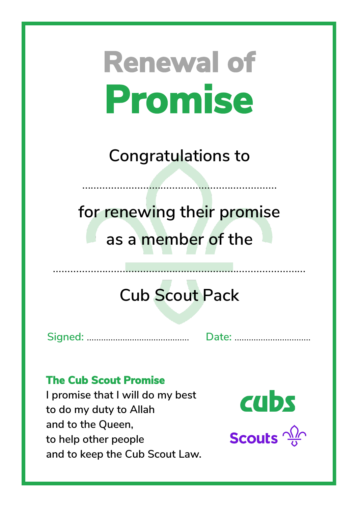**Congratulations to**

……………………………………………….…………

**for renewing their promise as a member of the**

### **Cub Scout Pack**

**Signed:** ……………...……………………. **Date:** …………………....…….

#### **The Cub Scout Promise**

**I promise that I will do my best to do my duty to Allah and to the Queen, to help other people and to keep the Cub Scout Law.**



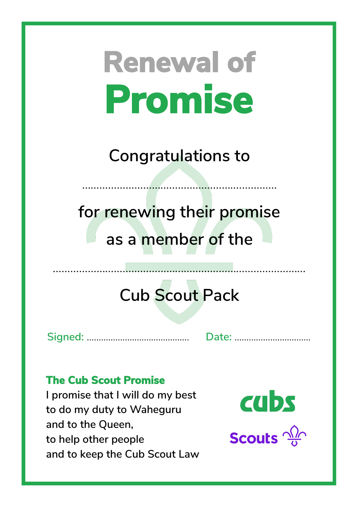**Congratulations to**

……………………………………………….…………

**for renewing their promise as a member of the**

### **Cub Scout Pack**

**Signed:** ……………...……………………. **Date:** …………………....…….

#### **The Cub Scout Promise**

**I promise that I will do my best to do my duty to Waheguru and to the Queen, to help other people and to keep the Cub Scout Law**



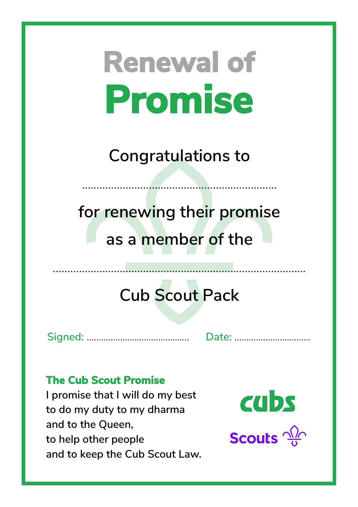**Congratulations to**

……………………………………………….…………

**for renewing their promise as a member of the**

### **Cub Scout Pack**

**Signed:** ……………...……………………. **Date:** …………………....…….

#### **The Cub Scout Promise**

**I promise that I will do my best to do my duty to my dharma and to the Queen, to help other people and to keep the Cub Scout Law.**